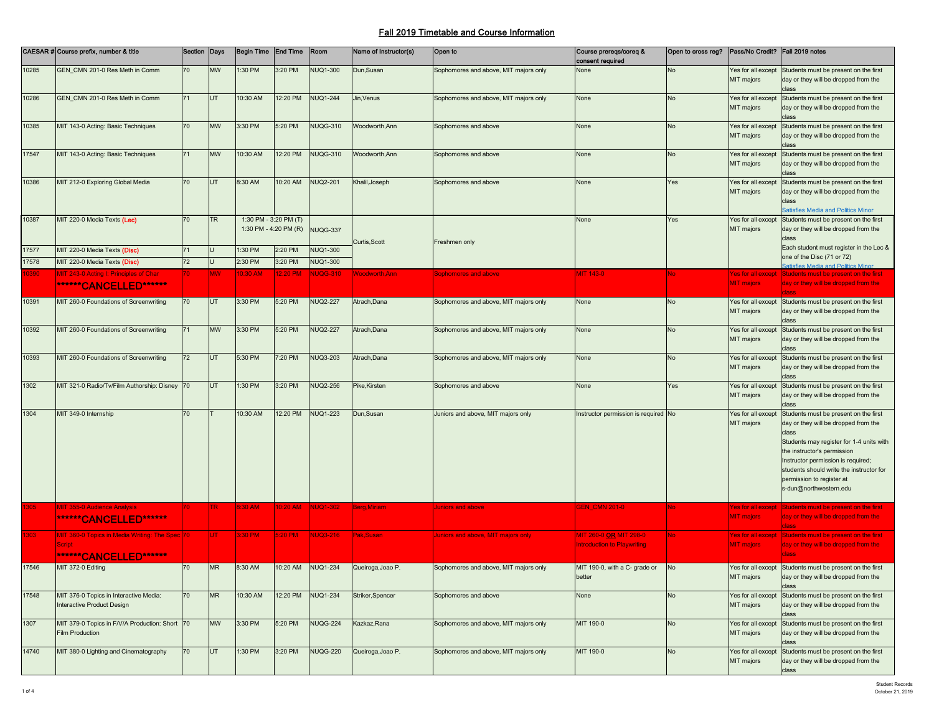|       | CAESAR # Course prefix, number & title                                                   | Section Days |            | Begin Time End Time                            |          | Room            | Name of Instructor(s) | Open to                               | Course prereqs/coreq &<br>consent required                   | Open to cross reg?   Pass/No Credit?   Fall 2019 notes |                                                |                                                                                                                                                                                                                                                                                                            |
|-------|------------------------------------------------------------------------------------------|--------------|------------|------------------------------------------------|----------|-----------------|-----------------------|---------------------------------------|--------------------------------------------------------------|--------------------------------------------------------|------------------------------------------------|------------------------------------------------------------------------------------------------------------------------------------------------------------------------------------------------------------------------------------------------------------------------------------------------------------|
| 10285 | GEN_CMN 201-0 Res Meth in Comm                                                           | 70           | MW         | 1:30 PM                                        | 3:20 PM  | <b>NUQ1-300</b> | Dun, Susan            | Sophomores and above, MIT majors only | None                                                         | No                                                     | Yes for all except<br>MIT majors               | Students must be present on the first<br>day or they will be dropped from the                                                                                                                                                                                                                              |
| 10286 | GEN_CMN 201-0 Res Meth in Comm                                                           | 71           | <b>UT</b>  | 10:30 AM                                       | 12:20 PM | <b>NUQ1-244</b> | Jin, Venus            | Sophomores and above, MIT majors only | None                                                         | No                                                     | Yes for all except<br>MIT majors               | Students must be present on the first<br>day or they will be dropped from the                                                                                                                                                                                                                              |
| 10385 | MIT 143-0 Acting: Basic Techniques                                                       | 70           | <b>MW</b>  | 3:30 PM                                        | 5:20 PM  | <b>NUQG-310</b> | Woodworth, Ann        | Sophomores and above                  | None                                                         | No                                                     | Yes for all except<br>MIT majors               | Students must be present on the first<br>day or they will be dropped from the<br>class                                                                                                                                                                                                                     |
| 17547 | MIT 143-0 Acting: Basic Techniques                                                       | 71           | <b>MW</b>  | 10:30 AM                                       | 12:20 PM | <b>NUQG-310</b> | <b>Noodworth, Ann</b> | Sophomores and above                  | None                                                         | No                                                     | Yes for all except<br>MIT majors               | Students must be present on the first<br>day or they will be dropped from the<br>class                                                                                                                                                                                                                     |
| 10386 | MIT 212-0 Exploring Global Media                                                         | 70           | <b>UT</b>  | 8:30 AM                                        | 10:20 AM | <b>NUQ2-201</b> | Khalil, Joseph        | Sophomores and above                  | None                                                         | Yes                                                    | Yes for all except<br>MIT majors               | Students must be present on the first<br>day or they will be dropped from the<br>class<br>Satisfies Media and Politics Minor                                                                                                                                                                               |
| 10387 | MIT 220-0 Media Texts (Lec)                                                              | 70           | TR         | 1:30 PM - 3:20 PM (T)<br>1:30 PM - 4:20 PM (R) |          | NUQG-337        | Curtis, Scott         | Freshmen only                         | None                                                         | Yes                                                    | Yes for all except<br>MIT majors               | Students must be present on the first<br>day or they will be dropped from the<br>class                                                                                                                                                                                                                     |
| 17577 | MIT 220-0 Media Texts (Disc)                                                             | 71           |            | 1:30 PM                                        | 2:20 PM  | <b>NUQ1-300</b> |                       |                                       |                                                              |                                                        |                                                | Each student must register in the Lec &<br>one of the Disc (71 or 72)                                                                                                                                                                                                                                      |
| 17578 | MIT 220-0 Media Texts (Disc)                                                             | 72           |            | 2:30 PM                                        | 3:20 PM  | <b>NUQ1-300</b> |                       |                                       |                                                              |                                                        |                                                | <b>Satisfies Media and Politics Minor</b>                                                                                                                                                                                                                                                                  |
| 0390  | MIT 243-0 Acting I: Principles of Char<br><b>******CANCELLED******</b>                   | 70.          | <b>MW</b>  | 10:30 AM                                       | 12:20 PM | NUQG-310        | <b>Noodworth, Ann</b> | Sophomores and above                  | MIT 143-0                                                    | ٩o                                                     | <b>Yes for all except</b><br><b>MIT majors</b> | Students must be present on the first<br>day or they will be dropped from the                                                                                                                                                                                                                              |
| 10391 | MIT 260-0 Foundations of Screenwriting                                                   | 70           | <b>UT</b>  | 3:30 PM                                        | 5:20 PM  | <b>NUQ2-227</b> | Atrach, Dana          | Sophomores and above, MIT majors only | None                                                         | No                                                     | MIT majors                                     | Yes for all except Students must be present on the first<br>day or they will be dropped from the                                                                                                                                                                                                           |
| 10392 | MIT 260-0 Foundations of Screenwriting                                                   | 71           | <b>MW</b>  | 3:30 PM                                        | 5:20 PM  | <b>NUQ2-227</b> | Atrach, Dana          | Sophomores and above, MIT majors only | None                                                         | No                                                     | Yes for all except<br>MIT majors               | Students must be present on the first<br>day or they will be dropped from the<br>class                                                                                                                                                                                                                     |
| 10393 | MIT 260-0 Foundations of Screenwriting                                                   | 72           | UT         | 5:30 PM                                        | 7:20 PM  | <b>NUQ3-203</b> | Atrach, Dana          | Sophomores and above, MIT majors only | None                                                         | No                                                     | Yes for all except<br>MIT majors               | Students must be present on the first<br>day or they will be dropped from the<br>class                                                                                                                                                                                                                     |
| 1302  | MIT 321-0 Radio/Tv/Film Authorship: Disney 70                                            |              | UT         | 1:30 PM                                        | 3:20 PM  | <b>NUQ2-256</b> | Pike,Kirsten          | Sophomores and above                  | None                                                         | Yes                                                    | Yes for all except<br>MIT majors               | Students must be present on the first<br>day or they will be dropped from the<br>class                                                                                                                                                                                                                     |
| 1304  | MIT 349-0 Internship                                                                     | 70           |            | 10:30 AM                                       | 12:20 PM | <b>NUQ1-223</b> | Dun, Susan            | Juniors and above, MIT majors only    | Instructor permission is required No                         |                                                        | Yes for all except<br>MIT majors               | Students must be present on the first<br>day or they will be dropped from the<br>class<br>Students may register for 1-4 units with<br>the instructor's permission<br>Instructor permission is required;<br>students should write the instructor for<br>permission to register at<br>s-dun@northwestern.edu |
| 1305  | <b>MIT 355-0 Audience Analysis</b><br><b>******CANCELLED******</b>                       |              | TR.        | 8:30 AM                                        |          |                 | Berg, Miriam          | Juniors and above                     | <b>GEN_CMN 201-0</b>                                         |                                                        | <b>Yes for all except</b><br><b>MIT</b> majors | Students must be present on the first<br>day or they will be dropped from the                                                                                                                                                                                                                              |
| 1303  | MIT 360-0 Topics in Media Writing: The Spec 70<br>Script<br><b>******CANCELLED******</b> |              | <b>IUT</b> | 3:30 PM                                        | 5:20 PM  | NUQ3-216        | Pak, Susan            | Juniors and above, MIT majors only    | MIT 260-0 OR MIT 298-0<br><b>Introduction to Playwriting</b> | No.                                                    | <b>Yes for all except</b><br><b>MIT</b> majors | Students must be present on the first<br>day or they will be dropped from the<br><b>class</b>                                                                                                                                                                                                              |
| 17546 | MIT 372-0 Editing                                                                        | 70           | <b>MR</b>  | 8:30 AM                                        | 10:20 AM | <b>NUQ1-234</b> | Queiroga, Joao P.     | Sophomores and above, MIT majors only | MIT 190-0, with a C- grade or<br>better                      | No                                                     | MIT majors                                     | Yes for all except Students must be present on the first<br>day or they will be dropped from the<br>class                                                                                                                                                                                                  |
| 17548 | MIT 376-0 Topics in Interactive Media:<br>Interactive Product Design                     | 70           | <b>MR</b>  | 10:30 AM                                       | 12:20 PM | <b>NUQ1-234</b> | Striker, Spencer      | Sophomores and above                  | None                                                         | No                                                     | Yes for all except<br>MIT majors               | Students must be present on the first<br>day or they will be dropped from the<br>class                                                                                                                                                                                                                     |
| 1307  | MIT 379-0 Topics in F/V/A Production: Short 70<br>Film Production                        |              | <b>MW</b>  | 3:30 PM                                        | 5:20 PM  | <b>NUQG-224</b> | Kazkaz, Rana          | Sophomores and above, MIT majors only | MIT 190-0                                                    | No                                                     | Yes for all except<br>MIT majors               | Students must be present on the first<br>day or they will be dropped from the<br>class                                                                                                                                                                                                                     |
| 14740 | MIT 380-0 Lighting and Cinematography                                                    | 70           | UT         | 1:30 PM                                        | 3:20 PM  | <b>NUQG-220</b> | Queiroga, Joao P.     | Sophomores and above, MIT majors only | MIT 190-0                                                    | No                                                     | MIT majors                                     | Yes for all except Students must be present on the first<br>day or they will be dropped from the                                                                                                                                                                                                           |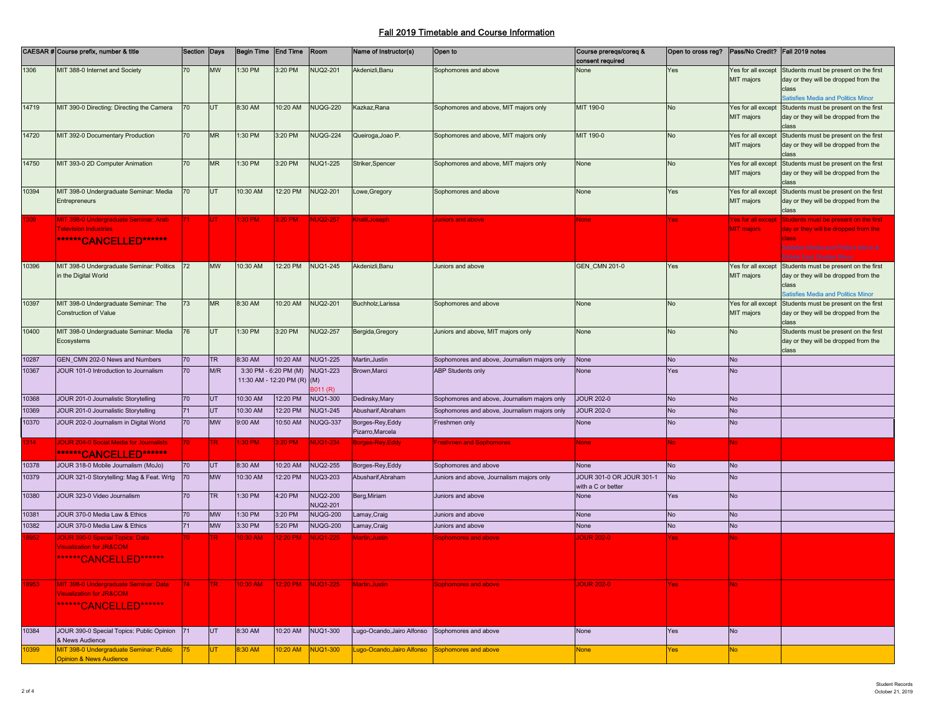|       | CAESAR # Course prefix, number & title                                       | Section Days    |           | Begin Time End Time   |                             | Room              | Name of Instructor(s)                           | Open to                                      | Course prereqs/coreq &<br>consent required | Open to cross reg? | Pass/No Credit? Fall 2019 notes  |                                                                               |
|-------|------------------------------------------------------------------------------|-----------------|-----------|-----------------------|-----------------------------|-------------------|-------------------------------------------------|----------------------------------------------|--------------------------------------------|--------------------|----------------------------------|-------------------------------------------------------------------------------|
| 1306  | MIT 388-0 Internet and Society                                               | 70              | MW        | 1:30 PM               | 3:20 PM                     | <b>NUQ2-201</b>   | Akdenizli.Banu                                  | Sophomores and above                         | None                                       | Yes                |                                  | Yes for all except Students must be present on the first                      |
|       |                                                                              |                 |           |                       |                             |                   |                                                 |                                              |                                            |                    | MIT majors                       | day or they will be dropped from the                                          |
|       |                                                                              |                 |           |                       |                             |                   |                                                 |                                              |                                            |                    |                                  | atisfies Media and Politics Minor                                             |
| 14719 | MIT 390-0 Directing: Directing the Camera                                    | 70              | UT.       | 8:30 AM               | 10:20 AM                    | <b>NUQG-220</b>   | Kazkaz.Rana                                     | Sophomores and above, MIT majors only        | MIT 190-0                                  | No                 | Yes for all except               | Students must be present on the first                                         |
|       |                                                                              |                 |           |                       |                             |                   |                                                 |                                              |                                            |                    | MIT majors                       | day or they will be dropped from the                                          |
| 14720 | MIT 392-0 Documentary Production                                             | 70              | <b>MR</b> | 1:30 PM               | 3:20 PM                     | <b>NUQG-224</b>   | Queiroga, Joao P.                               | Sophomores and above, MIT majors only        | MIT 190-0                                  | No                 | Yes for all except               | Students must be present on the first                                         |
|       |                                                                              |                 |           |                       |                             |                   |                                                 |                                              |                                            |                    | MIT majors                       | day or they will be dropped from the                                          |
|       |                                                                              |                 |           |                       |                             |                   |                                                 |                                              |                                            |                    |                                  |                                                                               |
| 14750 | MIT 393-0 2D Computer Animation                                              | 70 <sup>°</sup> | <b>MR</b> | 1:30 PM               | 3:20 PM                     | <b>NUQ1-225</b>   | Striker, Spencer                                | Sophomores and above, MIT majors only        | None                                       | No                 | Yes for all except<br>MIT majors | Students must be present on the first<br>day or they will be dropped from the |
|       |                                                                              |                 |           |                       |                             |                   |                                                 |                                              |                                            |                    |                                  |                                                                               |
| 10394 | MIT 398-0 Undergraduate Seminar: Media                                       | 70              | UT        | 10:30 AM              | 12:20 PM                    | <b>NUQ2-201</b>   | _owe, Gregory                                   | Sophomores and above                         | None                                       | Yes                | Yes for all except               | Students must be present on the first                                         |
|       | Entrepreneurs                                                                |                 |           |                       |                             |                   |                                                 |                                              |                                            |                    | MIT majors                       | day or they will be dropped from the<br>dass:                                 |
|       | MIT 398-0 Undergraduate Seminar: Arab                                        |                 |           | 1:30 PM               | 3:20 PM                     | <b>NUQ2-257</b>   | Khalil.Joseph                                   | Juniors and above                            | None                                       | res                | Yes for all except               | Students must be present on the first                                         |
|       | <b>Television Industries</b>                                                 |                 |           |                       |                             |                   |                                                 |                                              |                                            |                    | <b>MIT</b> majors                | day or they will be dropped from the                                          |
|       | *******CANCELLED******                                                       |                 |           |                       |                             |                   |                                                 |                                              |                                            |                    |                                  | lass                                                                          |
|       |                                                                              |                 |           |                       |                             |                   |                                                 |                                              |                                            |                    |                                  | <b>Satisfies Media and Politics Minor &amp;</b><br>Middle East Studies Minor  |
| 10396 | MIT 398-0 Undergraduate Seminar: Politics                                    | 72              | <b>MW</b> | 10:30 AM              | 12:20 PM                    | <b>NUQ1-245</b>   | Akdenizli.Banu                                  | Juniors and above                            | <b>GEN_CMN 201-0</b>                       | Yes                |                                  | Yes for all except Students must be present on the first                      |
|       | in the Digital World                                                         |                 |           |                       |                             |                   |                                                 |                                              |                                            |                    | MIT majors                       | day or they will be dropped from the                                          |
|       |                                                                              |                 |           |                       |                             |                   |                                                 |                                              |                                            |                    |                                  |                                                                               |
| 10397 | MIT 398-0 Undergraduate Seminar: The                                         | 73              | <b>MR</b> | 8:30 AM               | 10:20 AM                    | <b>NUQ2-201</b>   | Buchholz, Larissa                               | Sophomores and above                         | None                                       | No                 | Yes for all except               | atisfies Media and Politics Minor<br>Students must be present on the first    |
|       | <b>Construction of Value</b>                                                 |                 |           |                       |                             |                   |                                                 |                                              |                                            |                    | MIT majors                       | day or they will be dropped from the                                          |
|       |                                                                              |                 |           |                       |                             |                   |                                                 |                                              |                                            |                    |                                  | :lass                                                                         |
| 10400 | MIT 398-0 Undergraduate Seminar: Media<br>Ecosystems                         | 76              | UT        | 1:30 PM               | 3:20 PM                     | <b>NUQ2-257</b>   | Bergida, Gregory                                | Juniors and above, MIT majors only           | None                                       | No                 | No                               | Students must be present on the first                                         |
|       |                                                                              |                 |           |                       |                             |                   |                                                 |                                              |                                            |                    |                                  | day or they will be dropped from the<br>class                                 |
| 10287 | GEN_CMN 202-0 News and Numbers                                               | 70              | <b>TR</b> | 8:30 AM               | 10:20 AM                    | <b>NUQ1-225</b>   | Martin, Justin                                  | Sophomores and above, Journalism majors only | None                                       | No                 | No                               |                                                                               |
| 10367 | JOUR 101-0 Introduction to Journalism                                        | 70              | M/R       | 3:30 PM - 6:20 PM (M) |                             | <b>NUQ1-223</b>   | Brown, Marci                                    | <b>ABP Students only</b>                     | None                                       | Yes                | <b>No</b>                        |                                                                               |
|       |                                                                              |                 |           |                       | 11:30 AM - 12:20 PM (R) (M) | 8011 (R)          |                                                 |                                              |                                            |                    |                                  |                                                                               |
| 10368 | JOUR 201-0 Journalistic Storytelling                                         | 70              | UT        | 10:30 AM              | 12:20 PM                    | <b>NUQ1-300</b>   | Dedinsky, Mary                                  | Sophomores and above, Journalism majors only | <b>JOUR 202-0</b>                          | No                 | <b>No</b>                        |                                                                               |
| 10369 | JOUR 201-0 Journalistic Storytelling                                         | 71              | <b>UT</b> | 10:30 AM              | 12:20 PM                    | <b>NUQ1-245</b>   | Abusharif, Abraham                              | Sophomores and above, Journalism majors only | <b>JOUR 202-0</b>                          | No                 | <b>No</b>                        |                                                                               |
| 10370 | JOUR 202-0 Journalism in Digital World                                       | 70              | <b>MW</b> | 9:00 AM               | 10:50 AM                    | NUQG-337          | Borges-Rey, Eddy                                | Freshmen only                                | None                                       | <b>No</b>          | <b>No</b>                        |                                                                               |
|       |                                                                              |                 |           |                       |                             |                   | Pizarro, Marcela                                |                                              |                                            |                    |                                  |                                                                               |
| 314.  | IOUR 204-0 Social Media for Journalists                                      |                 | TR.       | $:30$ PM              | 3:20 PM                     | <b>NUQ1-234</b>   | Borges-Rey, Eddy                                | <b>Freshmen and Sophomores</b>               | <b>None</b>                                | No.                | No.                              |                                                                               |
|       | *******CANCELLED******                                                       |                 |           |                       |                             |                   |                                                 |                                              |                                            |                    |                                  |                                                                               |
| 10378 | JOUR 318-0 Mobile Journalism (MoJo)                                          | 70              | UT        | 8:30 AM               | 10:20 AM                    | <b>NUQ2-255</b>   | Borges-Rey, Eddy                                | Sophomores and above                         | None                                       | No                 | <b>No</b>                        |                                                                               |
| 10379 | JOUR 321-0 Storytelling: Mag & Feat. Wrtg                                    | 70              | <b>MW</b> | 10:30 AM              | 12:20 PM                    | NUQ3-203          | Abusharif, Abraham                              | Juniors and above, Journalism majors only    | JOUR 301-0 OR JOUR 301-1                   | <b>No</b>          | <b>No</b>                        |                                                                               |
| 10380 | JOUR 323-0 Video Journalism                                                  | 70              | <b>TR</b> | :30 PM                | 4:20 PM                     | <b>NUQ2-200</b>   | Berg,Miriam                                     | Juniors and above                            | with a C or better<br>None                 | Yes                | <b>No</b>                        |                                                                               |
|       |                                                                              |                 |           |                       |                             | NUQ2-201          |                                                 |                                              |                                            |                    |                                  |                                                                               |
| 10381 | JOUR 370-0 Media Law & Ethics                                                | 70              | <b>MW</b> | 1:30 PM               | 3:20 PM                     | <b>NUQG-200</b>   | Lamay, Craig                                    | Juniors and above                            | None                                       | No                 | <b>No</b>                        |                                                                               |
| 10382 | <b>JOUR 370-0 Media Law &amp; Ethics</b>                                     | 71              | <b>MW</b> | 3:30 PM               | 5:20 PM                     | <b>NUQG-200</b>   | Lamay, Craig                                    | Juniors and above                            | None                                       | No                 | <b>No</b>                        |                                                                               |
|       | <b>IOUR 390-0 Special Topics: Data</b>                                       |                 |           | 0:30 AM               | 2:20 PM                     | <b>NUQ1-225</b>   | Aartin, Justin                                  | <b>Sophomores and above</b>                  | <b>OUR 202-0</b>                           | 'es                |                                  |                                                                               |
|       | <b>Visualization for JR&amp;COM</b>                                          |                 |           |                       |                             |                   |                                                 |                                              |                                            |                    |                                  |                                                                               |
|       | <b>******CANCELLED******</b>                                                 |                 |           |                       |                             |                   |                                                 |                                              |                                            |                    |                                  |                                                                               |
|       |                                                                              |                 |           |                       |                             |                   |                                                 |                                              |                                            |                    |                                  |                                                                               |
| 3953  | MIT 398-0 Undergraduate Seminar: Data<br><b>Visualization for JR&amp;COM</b> |                 | TR.       | 10:30 AM              |                             | 12:20 PM NUQ1-225 | Martin, Justin                                  | <b>Sophomores and above</b>                  | <b>JOUR 202-0</b>                          | Yes:               |                                  |                                                                               |
|       |                                                                              |                 |           |                       |                             |                   |                                                 |                                              |                                            |                    |                                  |                                                                               |
|       | <b>******CANCELLED******</b>                                                 |                 |           |                       |                             |                   |                                                 |                                              |                                            |                    |                                  |                                                                               |
|       |                                                                              |                 |           |                       |                             |                   |                                                 |                                              |                                            |                    |                                  |                                                                               |
| 10384 | JOUR 390-0 Special Topics: Public Opinion<br>& News Audience                 | 171             | UT.       | 8:30 AM               | 10:20 AM                    | <b>NUQ1-300</b>   | Lugo-Ocando, Jairo Alfonso Sophomores and above |                                              | None                                       | Yes                | <b>No</b>                        |                                                                               |
| 10399 | MIT 398-0 Undergraduate Seminar: Public                                      | 75              | ÜT        | 3:30 AM               | 10:20 AM                    | <b>NUQ1-300</b>   | ugo-Ocando,Jairo Alfonso                        | Sophomores and above                         | None                                       | es/                | <b>No</b>                        |                                                                               |
|       | <b>Opinion &amp; News Audience</b>                                           |                 |           |                       |                             |                   |                                                 |                                              |                                            |                    |                                  |                                                                               |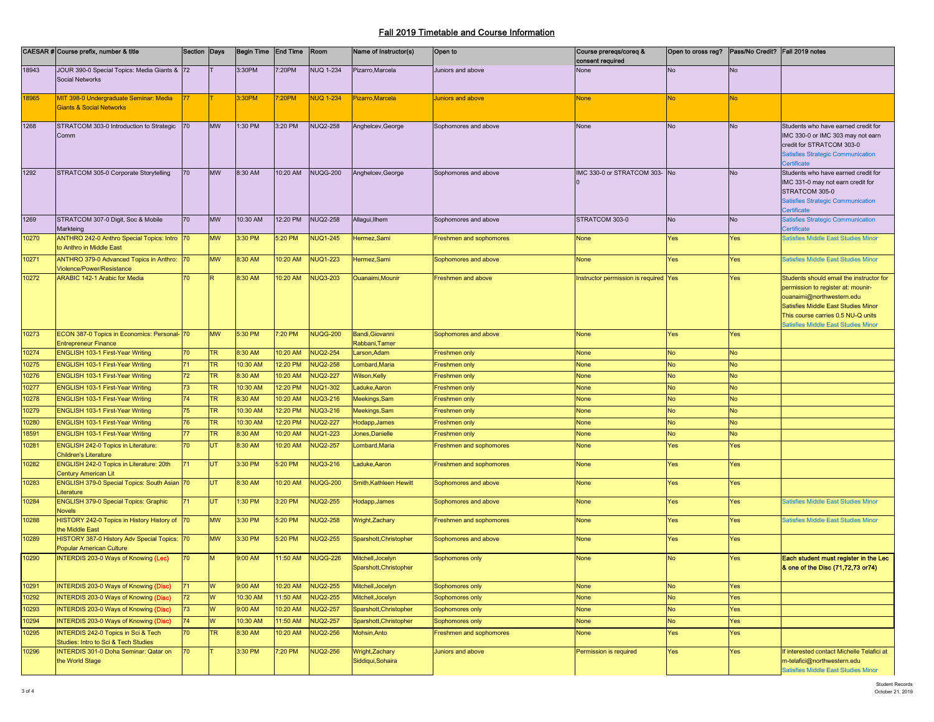|       | CAESAR # Course prefix, number & title                                      | Section Days    |           | Begin Time End Time |          | Room             | Name of Instructor(s)                | Open to                 | Course prereqs/coreq &<br>consent required | Open to cross reg?   Pass/No Credit?   Fall 2019 notes |            |                                                                           |
|-------|-----------------------------------------------------------------------------|-----------------|-----------|---------------------|----------|------------------|--------------------------------------|-------------------------|--------------------------------------------|--------------------------------------------------------|------------|---------------------------------------------------------------------------|
| 18943 | JOUR 390-0 Special Topics: Media Giants & 72                                |                 |           | 3:30PM              | 7:20PM   | <b>NUQ 1-234</b> | Pizarro, Marcela                     | Juniors and above       | None                                       | <b>No</b>                                              | <b>No</b>  |                                                                           |
|       | <b>Social Networks</b>                                                      |                 |           |                     |          |                  |                                      |                         |                                            |                                                        |            |                                                                           |
| 8965  | MIT 398-0 Undergraduate Seminar: Media                                      | 77 <sub>1</sub> |           | 3:30PM              | 7:20PM   | <b>NUQ 1-234</b> | Pizarro, Marcela                     | Juniors and above       | <b>None</b>                                | <b>No</b>                                              | <b>No</b>  |                                                                           |
|       | <b>Giants &amp; Social Networks</b>                                         |                 |           |                     |          |                  |                                      |                         |                                            |                                                        |            |                                                                           |
| 1268  | STRATCOM 303-0 Introduction to Strategic                                    | 70              | <b>MW</b> | 1:30 PM             | 3:20 PM  | <b>NUQ2-258</b>  | Anghelcev, George                    | Sophomores and above    | None                                       | <b>No</b>                                              | No         | Students who have earned credit for                                       |
|       | Comm                                                                        |                 |           |                     |          |                  |                                      |                         |                                            |                                                        |            | IMC 330-0 or IMC 303 may not earn                                         |
|       |                                                                             |                 |           |                     |          |                  |                                      |                         |                                            |                                                        |            | credit for STRATCOM 303-0<br><b>Satisfies Strategic Communication</b>     |
|       |                                                                             |                 |           |                     |          |                  |                                      |                         |                                            |                                                        |            | Certificate                                                               |
| 1292  | STRATCOM 305-0 Corporate Storytelling                                       | 70              | <b>MW</b> | 8:30 AM             | 10:20 AM | <b>NUQG-200</b>  | Anghelcev, George                    | Sophomores and above    | IMC 330-0 or STRATCOM 303- No              |                                                        | No         | Students who have earned credit for                                       |
|       |                                                                             |                 |           |                     |          |                  |                                      |                         |                                            |                                                        |            | IMC 331-0 may not earn credit for                                         |
|       |                                                                             |                 |           |                     |          |                  |                                      |                         |                                            |                                                        |            | STRATCOM 305-0                                                            |
|       |                                                                             |                 |           |                     |          |                  |                                      |                         |                                            |                                                        |            | <b>Satisfies Strategic Communication</b>                                  |
| 1269  | STRATCOM 307-0 Digit, Soc & Mobile                                          | 70              | <b>MW</b> | 10:30 AM            | 12:20 PM | <b>NUQ2-258</b>  | Allagui, Ilhem                       | Sophomores and above    | STRATCOM 303-0                             | <b>No</b>                                              | No         | Certificate<br>atisfies Strategic Communication                           |
|       | Markteing                                                                   |                 |           |                     |          |                  |                                      |                         |                                            |                                                        |            | ertificate                                                                |
| 10270 | ANTHRO 242-0 Anthro Special Topics: Intro 70                                |                 | <b>MW</b> | 3:30 PM             | 5:20 PM  | <b>NUQ1-245</b>  | Hermez, Sami                         | Freshmen and sophomores | None                                       | Yes                                                    | Yes        | <b>Satisfies Middle East Studies Minor</b>                                |
|       | to Anthro in Middle East                                                    |                 |           |                     |          |                  |                                      |                         |                                            |                                                        |            |                                                                           |
| 10271 | ANTHRO 379-0 Advanced Topics in Anthro:                                     | 70              | <b>MW</b> | 8:30 AM             | 10:20 AM | <b>NUQ1-223</b>  | Hermez, Sami                         | Sophomores and above    | None                                       | Yes                                                    | Yes        | <b>Satisfies Middle East Studies Minor</b>                                |
| 10272 | <b>Violence/Power/Resistance</b><br><b>ARABIC 142-1 Arabic for Media</b>    | 70              | R         | 8:30 AM             | 10:20 AM | <b>NUQ3-203</b>  | Ouanaimi, Mounir                     | Freshmen and above      | Instructor permission is required Yes      |                                                        | Yes        | Students should email the instructor for                                  |
|       |                                                                             |                 |           |                     |          |                  |                                      |                         |                                            |                                                        |            | permission to register at: mounir-                                        |
|       |                                                                             |                 |           |                     |          |                  |                                      |                         |                                            |                                                        |            | ouanaimi@northwestern.edu                                                 |
|       |                                                                             |                 |           |                     |          |                  |                                      |                         |                                            |                                                        |            | Satisfies Middle East Studies Minor                                       |
|       |                                                                             |                 |           |                     |          |                  |                                      |                         |                                            |                                                        |            | This course carries 0.5 NU-Q units                                        |
| 10273 | ECON 387-0 Topics in Economics: Personal- 70                                |                 | <b>MW</b> | 5:30 PM             | 7:20 PM  | <b>NUQG-200</b>  | Bandi, Giovanni                      |                         | None                                       | Yes                                                    | <b>Yes</b> | <b>Satisfies Middle East Studies Minor</b>                                |
|       | <b>Entrepreneur Finance</b>                                                 |                 |           |                     |          |                  | Rabbani, Tamer                       | Sophomores and above    |                                            |                                                        |            |                                                                           |
| 10274 | <b>ENGLISH 103-1 First-Year Writing</b>                                     | 70              | <b>TR</b> | 8:30 AM             | 10:20 AM | <b>NUQ2-254</b>  | Larson, Adam                         | Freshmen only           | None                                       | <b>No</b>                                              | <b>No</b>  |                                                                           |
| 0275  | ENGLISH 103-1 First-Year Writing                                            | 71              | TR        | 10:30 AM            | 12:20 PM | <b>NUQ2-258</b>  | Lombard, Maria                       | Freshmen only           | None                                       | <b>No</b>                                              | No         |                                                                           |
| 10276 | ENGLISH 103-1 First-Year Writing                                            | 72              | TR        | 8:30 AM             | 10:20 AM | <b>NUQ2-227</b>  | Wilson, Kelly                        | Freshmen only           | None                                       | <b>No</b>                                              | <b>No</b>  |                                                                           |
| 10277 | ENGLISH 103-1 First-Year Writing                                            | 73              | TR        | 10:30 AM            | 12:20 PM | <b>NUQ1-302</b>  | Laduke, Aaron                        | Freshmen only           | None                                       | <b>No</b>                                              | <b>No</b>  |                                                                           |
| 0278  | ENGLISH 103-1 First-Year Writing                                            | 74              | TR        | 8:30 AM             | 10:20 AM | <b>NUQ3-216</b>  | Meekings, Sam                        | Freshmen only           | None                                       | <b>No</b>                                              | <b>No</b>  |                                                                           |
| 0279  | ENGLISH 103-1 First-Year Writing                                            | 75              | TR        | 10:30 AM            | 12:20 PM | <b>NUQ3-216</b>  | Meekings, Sam                        | Freshmen only           | None                                       | <b>No</b>                                              | No         |                                                                           |
| 0280  | ENGLISH 103-1 First-Year Writing                                            | 76              | TR        | 10:30 AM            | 12:20 PM | <b>NUQ2-227</b>  | Hodapp, James                        | Freshmen only           | None                                       | <b>No</b>                                              | <b>No</b>  |                                                                           |
| 8591  | ENGLISH 103-1 First-Year Writing                                            | 77              | TR        | 8:30 AM             | 10:20 AM | <b>NUQ1-223</b>  | Jones, Danielle                      | Freshmen only           | None                                       | <b>No</b>                                              | <b>No</b>  |                                                                           |
| 0281  | <b>ENGLISH 242-0 Topics in Literature:</b><br><b>Children's Literature</b>  | 70              | UT        | 8:30 AM             | 10:20 AM | <b>NUQ2-257</b>  | .ombard, Maria                       | Freshmen and sophomores | None                                       | Yes                                                    | Yes        |                                                                           |
| 10282 | ENGLISH 242-0 Topics in Literature: 20th                                    | 71              | <b>UT</b> | 3:30 PM             | 5:20 PM  | <b>NUQ3-216</b>  | Laduke, Aaron                        | Freshmen and sophomores | None                                       | Yes                                                    | Yes        |                                                                           |
| 10283 | <b>Century American Lit</b><br>ENGLISH 379-0 Special Topics: South Asian 70 |                 | UT        | 8:30 AM             | 10:20 AM | <b>NUQG-200</b>  | Smith, Kathleen Hewitt               | Sophomores and above    | None                                       | Yes                                                    | Yes        |                                                                           |
|       | <b>iterature</b>                                                            |                 |           |                     |          |                  |                                      |                         |                                            |                                                        |            |                                                                           |
| 0284  | ENGLISH 379-0 Special Topics: Graphic<br><b>Novels</b>                      | 71              | UT        | 1:30 PM             | 3:20 PM  | <b>NUQ2-255</b>  | Hodapp, James                        | Sophomores and above    | None                                       | Yes                                                    | Yes        | <b>Satisfies Middle East Studies Minor</b>                                |
| 0288  | <b>HISTORY 242-0 Topics in History History of</b><br>he Middle East         | 70              | <b>MW</b> | 3:30 PM             | 5:20 PM  | <b>NUQ2-258</b>  | Wright, Zachary                      | Freshmen and sophomores | None                                       | Yes                                                    | Yes        | <b>Satisfies Middle East Studies Minor</b>                                |
| 10289 | <b>HISTORY 387-0 History Adv Special Topics:</b>                            | 70              | <b>MW</b> | 3:30 PM             | 5:20 PM  | <b>NUQ2-255</b>  | Sparshott, Christopher               | Sophomores and above    | None                                       | Yes                                                    | Yes        |                                                                           |
| 10290 | Popular American Culture<br>NTERDIS 203-0 Ways of Knowing (Lec)             | 70              | M         | 9:00 AM             | 11:50 AM | <b>NUQG-226</b>  | Mitchell, Jocelyn                    | Sophomores only         | None                                       | <b>No</b>                                              | Yes        | Each student must register in the Lec                                     |
|       |                                                                             |                 |           |                     |          |                  | Sparshott, Christopher               |                         |                                            |                                                        |            | & one of the Disc (71,72,73 or74)                                         |
| 10291 | NTERDIS 203-0 Ways of Knowing (Disc)                                        | 71              | W         | 9:00 AM             | 10:20 AM | <b>NUQ2-255</b>  | Mitchell, Jocelyn                    | Sophomores only         | None                                       | <b>No</b>                                              | Yes        |                                                                           |
| 10292 | NTERDIS 203-0 Ways of Knowing (Disc)                                        | 72              | W         | 10:30 AM            | 11:50 AM | <b>NUQ2-255</b>  | Mitchell, Jocelyn                    | Sophomores only         | None                                       | <b>No</b>                                              | Yes        |                                                                           |
| 10293 | <b>INTERDIS 203-0 Ways of Knowing (Disc)</b>                                | 73              | W         | 9:00 AM             | 10:20 AM | <b>NUQ2-257</b>  | Sparshott, Christopher               | Sophomores only         | None                                       | <b>No</b>                                              | Yes        |                                                                           |
| 10294 | NTERDIS 203-0 Ways of Knowing (Disc)                                        | 74              | W         | 10:30 AM            | 11:50 AM | <b>NUQ2-257</b>  | Sparshott, Christopher               | Sophomores only         | None                                       | <b>No</b>                                              | Yes        |                                                                           |
| 0295  | <b>INTERDIS 242-0 Topics in Sci &amp; Tech</b>                              | 70              | TR.       | 8:30 AM             | 10:20 AM | <b>NUQ2-256</b>  | Mohsin, Anto                         | Freshmen and sophomores | None                                       | Yes                                                    | Yes        |                                                                           |
|       | Studies: Intro to Sci & Tech Studies                                        |                 |           |                     |          |                  |                                      |                         |                                            |                                                        |            |                                                                           |
| 0296  | <b>INTERDIS 301-0 Doha Seminar: Qatar on</b><br>the World Stage             | 70              |           | 3:30 PM             | 7:20 PM  | <b>NUQ2-256</b>  | Wright, Zachary<br>Siddiqui, Sohaira | Juniors and above       | Permission is required                     | Yes                                                    | Yes        | If interested contact Michelle Telafici at<br>m-telafici@northwestern.edu |
|       |                                                                             |                 |           |                     |          |                  |                                      |                         |                                            |                                                        |            | atisfies Middle East Studies Minor                                        |